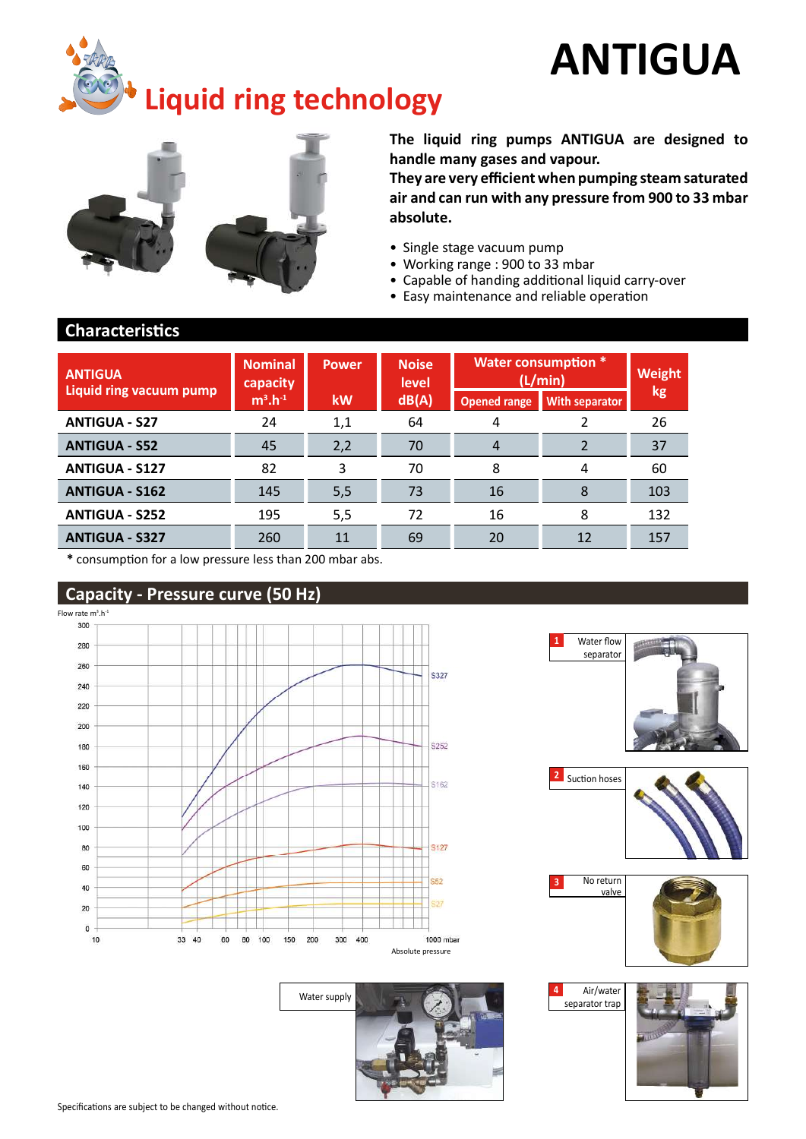# ANTIGUA





The liquid ring pumps ANTIGUA are designed to handle many gases and vapour.

They are very efficient when pumping steam saturated air and can run with any pressure from 900 to 33 mbar absolute.

- Single stage vacuum pump
- Working range : 900 to 33 mbar
- Capable of handing additional liquid carry-over
- Easy maintenance and reliable operation

#### **Characteristics**

| <b>ANTIGUA</b>          | <b>Nominal</b><br>capacity | <b>Power</b> | <b>Noise</b><br>level |                     | <b>Water consumption *</b><br>(L/min) | <b>Weight</b> |
|-------------------------|----------------------------|--------------|-----------------------|---------------------|---------------------------------------|---------------|
| Liquid ring vacuum pump | $m^3.h^{-1}$               | kW           | dB(A)                 | <b>Opened range</b> | <b>With separator</b>                 | kg            |
| <b>ANTIGUA - S27</b>    | 24                         | 1,1          | 64                    | 4                   |                                       | 26            |
| <b>ANTIGUA - S52</b>    | 45                         | 2,2          | 70                    | 4                   |                                       | 37            |
| <b>ANTIGUA - S127</b>   | 82                         | 3            | 70                    | 8                   | 4                                     | 60            |
| <b>ANTIGUA - S162</b>   | 145                        | 5,5          | 73                    | 16                  | 8                                     | 103           |
| <b>ANTIGUA - S252</b>   | 195                        | 5,5          | 72                    | 16                  | 8                                     | 132           |
| <b>ANTIGUA - S327</b>   | 260                        | 11           | 69                    | 20                  | 12                                    | 157           |

\* consumpƟ on for a low pressure less than 200 mbar abs.

### Capacity - Pressure curve (50 Hz)